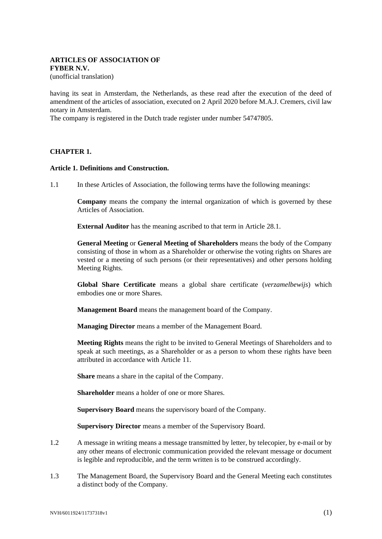# **ARTICLES OF ASSOCIATION OF FYBER N.V.**

(unofficial translation)

having its seat in Amsterdam, the Netherlands, as these read after the execution of the deed of amendment of the articles of association, executed on 2 April 2020 before M.A.J. Cremers, civil law notary in Amsterdam.

The company is registered in the Dutch trade register under number 54747805.

### **CHAPTER 1.**

#### **Article 1. Definitions and Construction.**

1.1 In these Articles of Association, the following terms have the following meanings:

**Company** means the company the internal organization of which is governed by these Articles of Association.

**External Auditor** has the meaning ascribed to that term in Article [28.1.](#page-13-0)

**General Meeting** or **General Meeting of Shareholders** means the body of the Company consisting of those in whom as a Shareholder or otherwise the voting rights on Shares are vested or a meeting of such persons (or their representatives) and other persons holding Meeting Rights.

**Global Share Certificate** means a global share certificate (*verzamelbewijs*) which embodies one or more Shares.

**Management Board** means the management board of the Company.

**Managing Director** means a member of the Management Board.

**Meeting Rights** means the right to be invited to General Meetings of Shareholders and to speak at such meetings, as a Shareholder or as a person to whom these rights have been attributed in accordance with Article [11.](#page-5-0)

**Share** means a share in the capital of the Company.

**Shareholder** means a holder of one or more Shares.

**Supervisory Board** means the supervisory board of the Company.

**Supervisory Director** means a member of the Supervisory Board.

- 1.2 A message in writing means a message transmitted by letter, by telecopier, by e-mail or by any other means of electronic communication provided the relevant message or document is legible and reproducible, and the term written is to be construed accordingly.
- 1.3 The Management Board, the Supervisory Board and the General Meeting each constitutes a distinct body of the Company.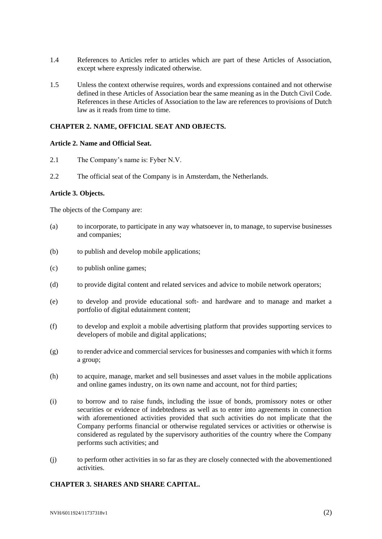- 1.4 References to Articles refer to articles which are part of these Articles of Association, except where expressly indicated otherwise.
- 1.5 Unless the context otherwise requires, words and expressions contained and not otherwise defined in these Articles of Association bear the same meaning as in the Dutch Civil Code. References in these Articles of Association to the law are references to provisions of Dutch law as it reads from time to time.

### **CHAPTER 2. NAME, OFFICIAL SEAT AND OBJECTS.**

#### **Article 2. Name and Official Seat.**

- 2.1 The Company's name is: Fyber N.V.
- 2.2 The official seat of the Company is in Amsterdam, the Netherlands.

### **Article 3. Objects.**

The objects of the Company are:

- (a) to incorporate, to participate in any way whatsoever in, to manage, to supervise businesses and companies;
- (b) to publish and develop mobile applications;
- (c) to publish online games;
- (d) to provide digital content and related services and advice to mobile network operators;
- (e) to develop and provide educational soft- and hardware and to manage and market a portfolio of digital edutainment content;
- (f) to develop and exploit a mobile advertising platform that provides supporting services to developers of mobile and digital applications;
- (g) to render advice and commercial services for businesses and companies with which it forms a group;
- (h) to acquire, manage, market and sell businesses and asset values in the mobile applications and online games industry, on its own name and account, not for third parties;
- (i) to borrow and to raise funds, including the issue of bonds, promissory notes or other securities or evidence of indebtedness as well as to enter into agreements in connection with aforementioned activities provided that such activities do not implicate that the Company performs financial or otherwise regulated services or activities or otherwise is considered as regulated by the supervisory authorities of the country where the Company performs such activities; and
- (j) to perform other activities in so far as they are closely connected with the abovementioned activities.

### **CHAPTER 3. SHARES AND SHARE CAPITAL.**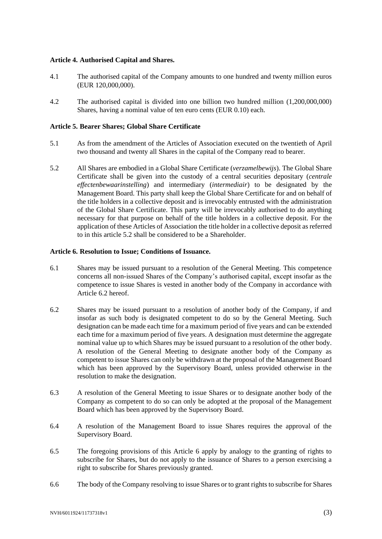### **Article 4. Authorised Capital and Shares.**

- 4.1 The authorised capital of the Company amounts to one hundred and twenty million euros (EUR 120,000,000).
- 4.2 The authorised capital is divided into one billion two hundred million (1,200,000,000) Shares, having a nominal value of ten euro cents (EUR 0.10) each.

#### **Article 5. Bearer Shares; Global Share Certificate**

- 5.1 As from the amendment of the Articles of Association executed on the twentieth of April two thousand and twenty all Shares in the capital of the Company read to bearer.
- 5.2 All Shares are embodied in a Global Share Certificate (*verzamelbewijs*). The Global Share Certificate shall be given into the custody of a central securities depositary (*centrale effectenbewaarinstelling*) and intermediary (*intermediair*) to be designated by the Management Board. This party shall keep the Global Share Certificate for and on behalf of the title holders in a collective deposit and is irrevocably entrusted with the administration of the Global Share Certificate. This party will be irrevocably authorised to do anything necessary for that purpose on behalf of the title holders in a collective deposit. For the application of these Articles of Association the title holder in a collective deposit as referred to in this article 5.2 shall be considered to be a Shareholder.

#### <span id="page-2-1"></span>**Article 6. Resolution to Issue; Conditions of Issuance.**

- <span id="page-2-2"></span>6.1 Shares may be issued pursuant to a resolution of the General Meeting. This competence concerns all non-issued Shares of the Company's authorised capital, except insofar as the competence to issue Shares is vested in another body of the Company in accordance with Article [6.2](#page-2-0) hereof.
- <span id="page-2-0"></span>6.2 Shares may be issued pursuant to a resolution of another body of the Company, if and insofar as such body is designated competent to do so by the General Meeting. Such designation can be made each time for a maximum period of five years and can be extended each time for a maximum period of five years. A designation must determine the aggregate nominal value up to which Shares may be issued pursuant to a resolution of the other body. A resolution of the General Meeting to designate another body of the Company as competent to issue Shares can only be withdrawn at the proposal of the Management Board which has been approved by the Supervisory Board, unless provided otherwise in the resolution to make the designation.
- <span id="page-2-5"></span>6.3 A resolution of the General Meeting to issue Shares or to designate another body of the Company as competent to do so can only be adopted at the proposal of the Management Board which has been approved by the Supervisory Board.
- <span id="page-2-3"></span>6.4 A resolution of the Management Board to issue Shares requires the approval of the Supervisory Board.
- 6.5 The foregoing provisions of this Article [6](#page-2-1) apply by analogy to the granting of rights to subscribe for Shares, but do not apply to the issuance of Shares to a person exercising a right to subscribe for Shares previously granted.
- <span id="page-2-4"></span>6.6 The body of the Company resolving to issue Shares or to grant rights to subscribe for Shares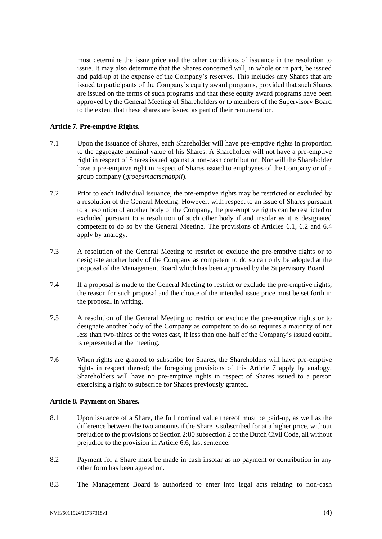must determine the issue price and the other conditions of issuance in the resolution to issue. It may also determine that the Shares concerned will, in whole or in part, be issued and paid-up at the expense of the Company's reserves. This includes any Shares that are issued to participants of the Company's equity award programs, provided that such Shares are issued on the terms of such programs and that these equity award programs have been approved by the General Meeting of Shareholders or to members of the Supervisory Board to the extent that these shares are issued as part of their remuneration.

# <span id="page-3-0"></span>**Article 7. Pre-emptive Rights.**

- 7.1 Upon the issuance of Shares, each Shareholder will have pre-emptive rights in proportion to the aggregate nominal value of his Shares. A Shareholder will not have a pre-emptive right in respect of Shares issued against a non-cash contribution. Nor will the Shareholder have a pre-emptive right in respect of Shares issued to employees of the Company or of a group company (*groepsmaatschappij*).
- 7.2 Prior to each individual issuance, the pre-emptive rights may be restricted or excluded by a resolution of the General Meeting. However, with respect to an issue of Shares pursuant to a resolution of another body of the Company, the pre-emptive rights can be restricted or excluded pursuant to a resolution of such other body if and insofar as it is designated competent to do so by the General Meeting. The provisions of Articles [6.1,](#page-2-2) [6.2](#page-2-0) and [6.4](#page-2-3) apply by analogy.
- 7.3 A resolution of the General Meeting to restrict or exclude the pre-emptive rights or to designate another body of the Company as competent to do so can only be adopted at the proposal of the Management Board which has been approved by the Supervisory Board.
- 7.4 If a proposal is made to the General Meeting to restrict or exclude the pre-emptive rights, the reason for such proposal and the choice of the intended issue price must be set forth in the proposal in writing.
- 7.5 A resolution of the General Meeting to restrict or exclude the pre-emptive rights or to designate another body of the Company as competent to do so requires a majority of not less than two-thirds of the votes cast, if less than one-half of the Company's issued capital is represented at the meeting.
- 7.6 When rights are granted to subscribe for Shares, the Shareholders will have pre-emptive rights in respect thereof; the foregoing provisions of this Article [7](#page-3-0) apply by analogy. Shareholders will have no pre-emptive rights in respect of Shares issued to a person exercising a right to subscribe for Shares previously granted.

### **Article 8. Payment on Shares.**

- 8.1 Upon issuance of a Share, the full nominal value thereof must be paid-up, as well as the difference between the two amounts if the Share is subscribed for at a higher price, without prejudice to the provisions of Section 2:80 subsection 2 of the Dutch Civil Code, all without prejudice to the provision in Article [6.6,](#page-2-4) last sentence.
- 8.2 Payment for a Share must be made in cash insofar as no payment or contribution in any other form has been agreed on.
- 8.3 The Management Board is authorised to enter into legal acts relating to non-cash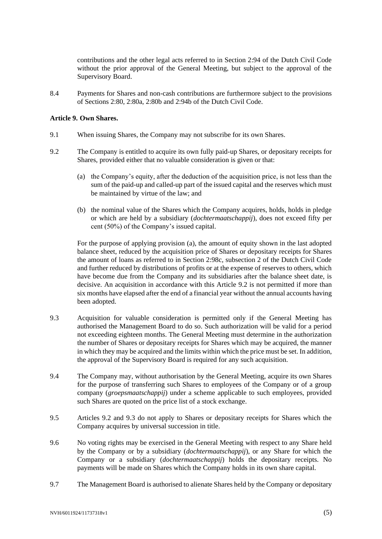contributions and the other legal acts referred to in Section 2:94 of the Dutch Civil Code without the prior approval of the General Meeting, but subject to the approval of the Supervisory Board.

8.4 Payments for Shares and non-cash contributions are furthermore subject to the provisions of Sections 2:80, 2:80a, 2:80b and 2:94b of the Dutch Civil Code.

#### **Article 9. Own Shares.**

- 9.1 When issuing Shares, the Company may not subscribe for its own Shares.
- <span id="page-4-1"></span><span id="page-4-0"></span>9.2 The Company is entitled to acquire its own fully paid-up Shares, or depositary receipts for Shares, provided either that no valuable consideration is given or that:
	- (a) the Company's equity, after the deduction of the acquisition price, is not less than the sum of the paid-up and called-up part of the issued capital and the reserves which must be maintained by virtue of the law; and
	- (b) the nominal value of the Shares which the Company acquires, holds, holds in pledge or which are held by a subsidiary (*dochtermaatschappij*), does not exceed fifty per cent (50%) of the Company's issued capital.

For the purpose of applying provision [\(a\),](#page-4-0) the amount of equity shown in the last adopted balance sheet, reduced by the acquisition price of Shares or depositary receipts for Shares the amount of loans as referred to in Section 2:98c, subsection 2 of the Dutch Civil Code and further reduced by distributions of profits or at the expense of reserves to others, which have become due from the Company and its subsidiaries after the balance sheet date, is decisive. An acquisition in accordance with this Article [9.2](#page-4-1) is not permitted if more than six months have elapsed after the end of a financial year without the annual accounts having been adopted.

- <span id="page-4-2"></span>9.3 Acquisition for valuable consideration is permitted only if the General Meeting has authorised the Management Board to do so. Such authorization will be valid for a period not exceeding eighteen months. The General Meeting must determine in the authorization the number of Shares or depositary receipts for Shares which may be acquired, the manner in which they may be acquired and the limits within which the price must be set. In addition, the approval of the Supervisory Board is required for any such acquisition.
- 9.4 The Company may, without authorisation by the General Meeting, acquire its own Shares for the purpose of transferring such Shares to employees of the Company or of a group company (*groepsmaatschappij*) under a scheme applicable to such employees, provided such Shares are quoted on the price list of a stock exchange.
- 9.5 Articles [9.2](#page-4-1) and [9.3](#page-4-2) do not apply to Shares or depositary receipts for Shares which the Company acquires by universal succession in title.
- 9.6 No voting rights may be exercised in the General Meeting with respect to any Share held by the Company or by a subsidiary (*dochtermaatschappij*), or any Share for which the Company or a subsidiary (*dochtermaatschappij*) holds the depositary receipts. No payments will be made on Shares which the Company holds in its own share capital.
- 9.7 The Management Board is authorised to alienate Shares held by the Company or depositary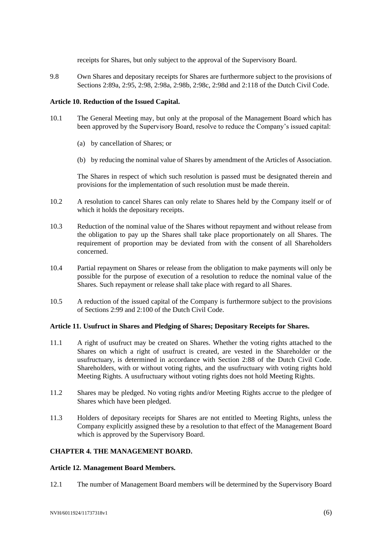receipts for Shares, but only subject to the approval of the Supervisory Board.

9.8 Own Shares and depositary receipts for Shares are furthermore subject to the provisions of Sections 2:89a, 2:95, 2:98, 2:98a, 2:98b, 2:98c, 2:98d and 2:118 of the Dutch Civil Code.

### **Article 10. Reduction of the Issued Capital.**

- 10.1 The General Meeting may, but only at the proposal of the Management Board which has been approved by the Supervisory Board, resolve to reduce the Company's issued capital:
	- (a) by cancellation of Shares; or
	- (b) by reducing the nominal value of Shares by amendment of the Articles of Association.

The Shares in respect of which such resolution is passed must be designated therein and provisions for the implementation of such resolution must be made therein.

- 10.2 A resolution to cancel Shares can only relate to Shares held by the Company itself or of which it holds the depositary receipts.
- 10.3 Reduction of the nominal value of the Shares without repayment and without release from the obligation to pay up the Shares shall take place proportionately on all Shares. The requirement of proportion may be deviated from with the consent of all Shareholders concerned.
- 10.4 Partial repayment on Shares or release from the obligation to make payments will only be possible for the purpose of execution of a resolution to reduce the nominal value of the Shares. Such repayment or release shall take place with regard to all Shares.
- 10.5 A reduction of the issued capital of the Company is furthermore subject to the provisions of Sections 2:99 and 2:100 of the Dutch Civil Code.

### <span id="page-5-0"></span>**Article 11. Usufruct in Shares and Pledging of Shares; Depositary Receipts for Shares.**

- 11.1 A right of usufruct may be created on Shares. Whether the voting rights attached to the Shares on which a right of usufruct is created, are vested in the Shareholder or the usufructuary, is determined in accordance with Section 2:88 of the Dutch Civil Code. Shareholders, with or without voting rights, and the usufructuary with voting rights hold Meeting Rights. A usufructuary without voting rights does not hold Meeting Rights.
- 11.2 Shares may be pledged. No voting rights and/or Meeting Rights accrue to the pledgee of Shares which have been pledged.
- 11.3 Holders of depositary receipts for Shares are not entitled to Meeting Rights, unless the Company explicitly assigned these by a resolution to that effect of the Management Board which is approved by the Supervisory Board.

### **CHAPTER 4. THE MANAGEMENT BOARD.**

### **Article 12. Management Board Members.**

12.1 The number of Management Board members will be determined by the Supervisory Board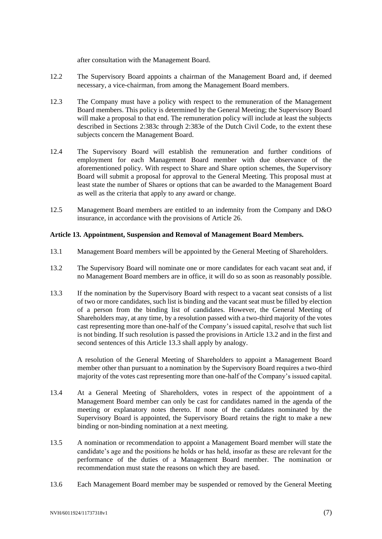after consultation with the Management Board.

- 12.2 The Supervisory Board appoints a chairman of the Management Board and, if deemed necessary, a vice-chairman, from among the Management Board members.
- 12.3 The Company must have a policy with respect to the remuneration of the Management Board members. This policy is determined by the General Meeting; the Supervisory Board will make a proposal to that end. The remuneration policy will include at least the subjects described in Sections 2:383c through 2:383e of the Dutch Civil Code, to the extent these subjects concern the Management Board.
- 12.4 The Supervisory Board will establish the remuneration and further conditions of employment for each Management Board member with due observance of the aforementioned policy. With respect to Share and Share option schemes, the Supervisory Board will submit a proposal for approval to the General Meeting. This proposal must at least state the number of Shares or options that can be awarded to the Management Board as well as the criteria that apply to any award or change.
- 12.5 Management Board members are entitled to an indemnity from the Company and D&O insurance, in accordance with the provisions of Article [26.](#page-11-0)

### **Article 13. Appointment, Suspension and Removal of Management Board Members.**

- 13.1 Management Board members will be appointed by the General Meeting of Shareholders.
- <span id="page-6-0"></span>13.2 The Supervisory Board will nominate one or more candidates for each vacant seat and, if no Management Board members are in office, it will do so as soon as reasonably possible.
- <span id="page-6-1"></span>13.3 If the nomination by the Supervisory Board with respect to a vacant seat consists of a list of two or more candidates, such list is binding and the vacant seat must be filled by election of a person from the binding list of candidates. However, the General Meeting of Shareholders may, at any time, by a resolution passed with a two-third majority of the votes cast representing more than one-half of the Company's issued capital, resolve that such list is not binding. If such resolution is passed the provisions in Article [13.2](#page-6-0) and in the first and second sentences of this Article [13.3](#page-6-1) shall apply by analogy.

A resolution of the General Meeting of Shareholders to appoint a Management Board member other than pursuant to a nomination by the Supervisory Board requires a two-third majority of the votes cast representing more than one-half of the Company's issued capital.

- 13.4 At a General Meeting of Shareholders, votes in respect of the appointment of a Management Board member can only be cast for candidates named in the agenda of the meeting or explanatory notes thereto. If none of the candidates nominated by the Supervisory Board is appointed, the Supervisory Board retains the right to make a new binding or non-binding nomination at a next meeting.
- 13.5 A nomination or recommendation to appoint a Management Board member will state the candidate's age and the positions he holds or has held, insofar as these are relevant for the performance of the duties of a Management Board member. The nomination or recommendation must state the reasons on which they are based.
- 13.6 Each Management Board member may be suspended or removed by the General Meeting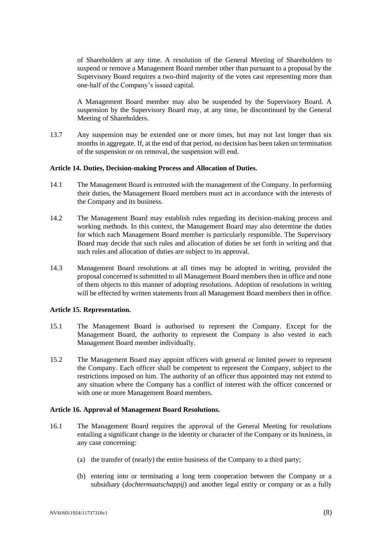of Shareholders at any time. A resolution of the General Meeting of Shareholders to suspend or remove a Management Board member other than pursuant to a proposal by the Supervisory Board requires a two-third majority of the votes cast representing more than one-half of the Company's issued capital.

A Management Board member may also be suspended by the Supervisory Board. A suspension by the Supervisory Board may, at any time, be discontinued by the General Meeting of Shareholders.

13.7 Any suspension may be extended one or more times, but may not last longer than six months in aggregate. If, at the end of that period, no decision has been taken on termination of the suspension or on removal, the suspension will end.

#### **Article 14. Duties, Decision-making Process and Allocation of Duties.**

- 14.1 The Management Board is entrusted with the management of the Company. In performing their duties, the Management Board members must act in accordance with the interests of the Company and its business.
- 14.2 The Management Board may establish rules regarding its decision-making process and working methods. In this context, the Management Board may also determine the duties for which each Management Board member is particularly responsible. The Supervisory Board may decide that such rules and allocation of duties be set forth in writing and that such rules and allocation of duties are subject to its approval.
- 14.3 Management Board resolutions at all times may be adopted in writing, provided the proposal concerned is submitted to all Management Board members then in office and none of them objects to this manner of adopting resolutions. Adoption of resolutions in writing will be effected by written statements from all Management Board members then in office.

### **Article 15. Representation.**

- <span id="page-7-1"></span>15.1 The Management Board is authorised to represent the Company. Except for the Management Board, the authority to represent the Company is also vested in each Management Board member individually.
- 15.2 The Management Board may appoint officers with general or limited power to represent the Company. Each officer shall be competent to represent the Company, subject to the restrictions imposed on him. The authority of an officer thus appointed may not extend to any situation where the Company has a conflict of interest with the officer concerned or with one or more Management Board members.

#### <span id="page-7-0"></span>**Article 16. Approval of Management Board Resolutions.**

- 16.1 The Management Board requires the approval of the General Meeting for resolutions entailing a significant change in the identity or character of the Company or its business, in any case concerning:
	- (a) the transfer of (nearly) the entire business of the Company to a third party;
	- (b) entering into or terminating a long term cooperation between the Company or a subsidiary (*dochtermaatschappij*) and another legal entity or company or as a fully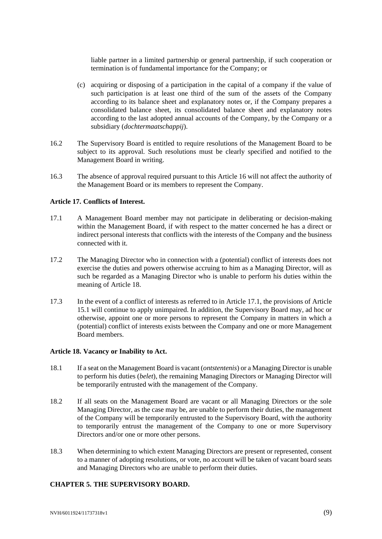liable partner in a limited partnership or general partnership, if such cooperation or termination is of fundamental importance for the Company; or

- (c) acquiring or disposing of a participation in the capital of a company if the value of such participation is at least one third of the sum of the assets of the Company according to its balance sheet and explanatory notes or, if the Company prepares a consolidated balance sheet, its consolidated balance sheet and explanatory notes according to the last adopted annual accounts of the Company, by the Company or a subsidiary (*dochtermaatschappij*).
- 16.2 The Supervisory Board is entitled to require resolutions of the Management Board to be subject to its approval. Such resolutions must be clearly specified and notified to the Management Board in writing.
- 16.3 The absence of approval required pursuant to this Article [16](#page-7-0) will not affect the authority of the Management Board or its members to represent the Company.

### **Article 17. Conflicts of Interest.**

- <span id="page-8-1"></span>17.1 A Management Board member may not participate in deliberating or decision-making within the Management Board, if with respect to the matter concerned he has a direct or indirect personal interests that conflicts with the interests of the Company and the business connected with it.
- 17.2 The Managing Director who in connection with a (potential) conflict of interests does not exercise the duties and powers otherwise accruing to him as a Managing Director, will as such be regarded as a Managing Director who is unable to perform his duties within the meaning of Article [18.](#page-8-0)
- 17.3 In the event of a conflict of interests as referred to in Article [17.1,](#page-8-1) the provisions of Article [15.1](#page-7-1) will continue to apply unimpaired. In addition, the Supervisory Board may, ad hoc or otherwise, appoint one or more persons to represent the Company in matters in which a (potential) conflict of interests exists between the Company and one or more Management Board members.

### <span id="page-8-0"></span>**Article 18. Vacancy or Inability to Act.**

- 18.1 If a seat on the Management Board is vacant (*ontstentenis*) or a Managing Director is unable to perform his duties (*belet*), the remaining Managing Directors or Managing Director will be temporarily entrusted with the management of the Company.
- <span id="page-8-2"></span>18.2 If all seats on the Management Board are vacant or all Managing Directors or the sole Managing Director, as the case may be, are unable to perform their duties, the management of the Company will be temporarily entrusted to the Supervisory Board, with the authority to temporarily entrust the management of the Company to one or more Supervisory Directors and/or one or more other persons.
- <span id="page-8-3"></span>18.3 When determining to which extent Managing Directors are present or represented, consent to a manner of adopting resolutions, or vote, no account will be taken of vacant board seats and Managing Directors who are unable to perform their duties.

### **CHAPTER 5. THE SUPERVISORY BOARD.**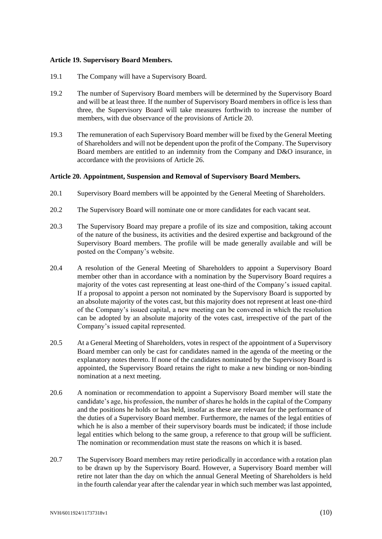### **Article 19. Supervisory Board Members.**

- 19.1 The Company will have a Supervisory Board.
- 19.2 The number of Supervisory Board members will be determined by the Supervisory Board and will be at least three. If the number of Supervisory Board members in office is less than three, the Supervisory Board will take measures forthwith to increase the number of members, with due observance of the provisions of Article [20.](#page-9-0)
- 19.3 The remuneration of each Supervisory Board member will be fixed by the General Meeting of Shareholders and will not be dependent upon the profit of the Company. The Supervisory Board members are entitled to an indemnity from the Company and D&O insurance, in accordance with the provisions of Article [26.](#page-11-0)

#### <span id="page-9-0"></span>**Article 20. Appointment, Suspension and Removal of Supervisory Board Members.**

- 20.1 Supervisory Board members will be appointed by the General Meeting of Shareholders.
- 20.2 The Supervisory Board will nominate one or more candidates for each vacant seat.
- 20.3 The Supervisory Board may prepare a profile of its size and composition, taking account of the nature of the business, its activities and the desired expertise and background of the Supervisory Board members. The profile will be made generally available and will be posted on the Company's website.
- <span id="page-9-1"></span>20.4 A resolution of the General Meeting of Shareholders to appoint a Supervisory Board member other than in accordance with a nomination by the Supervisory Board requires a majority of the votes cast representing at least one-third of the Company's issued capital. If a proposal to appoint a person not nominated by the Supervisory Board is supported by an absolute majority of the votes cast, but this majority does not represent at least one-third of the Company's issued capital, a new meeting can be convened in which the resolution can be adopted by an absolute majority of the votes cast, irrespective of the part of the Company's issued capital represented.
- 20.5 At a General Meeting of Shareholders, votes in respect of the appointment of a Supervisory Board member can only be cast for candidates named in the agenda of the meeting or the explanatory notes thereto. If none of the candidates nominated by the Supervisory Board is appointed, the Supervisory Board retains the right to make a new binding or non-binding nomination at a next meeting.
- 20.6 A nomination or recommendation to appoint a Supervisory Board member will state the candidate's age, his profession, the number of shares he holds in the capital of the Company and the positions he holds or has held, insofar as these are relevant for the performance of the duties of a Supervisory Board member. Furthermore, the names of the legal entities of which he is also a member of their supervisory boards must be indicated; if those include legal entities which belong to the same group, a reference to that group will be sufficient. The nomination or recommendation must state the reasons on which it is based.
- 20.7 The Supervisory Board members may retire periodically in accordance with a rotation plan to be drawn up by the Supervisory Board. However, a Supervisory Board member will retire not later than the day on which the annual General Meeting of Shareholders is held in the fourth calendar year after the calendar year in which such member was last appointed,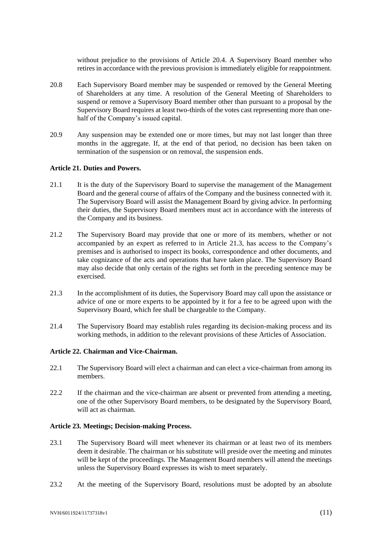without prejudice to the provisions of Article [20.4.](#page-9-1) A Supervisory Board member who retires in accordance with the previous provision is immediately eligible for reappointment.

- 20.8 Each Supervisory Board member may be suspended or removed by the General Meeting of Shareholders at any time. A resolution of the General Meeting of Shareholders to suspend or remove a Supervisory Board member other than pursuant to a proposal by the Supervisory Board requires at least two-thirds of the votes cast representing more than onehalf of the Company's issued capital.
- 20.9 Any suspension may be extended one or more times, but may not last longer than three months in the aggregate. If, at the end of that period, no decision has been taken on termination of the suspension or on removal, the suspension ends.

### **Article 21. Duties and Powers.**

- 21.1 It is the duty of the Supervisory Board to supervise the management of the Management Board and the general course of affairs of the Company and the business connected with it. The Supervisory Board will assist the Management Board by giving advice. In performing their duties, the Supervisory Board members must act in accordance with the interests of the Company and its business.
- 21.2 The Supervisory Board may provide that one or more of its members, whether or not accompanied by an expert as referred to in Article [21.3,](#page-10-0) has access to the Company's premises and is authorised to inspect its books, correspondence and other documents, and take cognizance of the acts and operations that have taken place. The Supervisory Board may also decide that only certain of the rights set forth in the preceding sentence may be exercised.
- <span id="page-10-0"></span>21.3 In the accomplishment of its duties, the Supervisory Board may call upon the assistance or advice of one or more experts to be appointed by it for a fee to be agreed upon with the Supervisory Board, which fee shall be chargeable to the Company.
- 21.4 The Supervisory Board may establish rules regarding its decision-making process and its working methods, in addition to the relevant provisions of these Articles of Association.

### **Article 22. Chairman and Vice-Chairman.**

- 22.1 The Supervisory Board will elect a chairman and can elect a vice-chairman from among its members.
- 22.2 If the chairman and the vice-chairman are absent or prevented from attending a meeting, one of the other Supervisory Board members, to be designated by the Supervisory Board, will act as chairman.

#### **Article 23. Meetings; Decision-making Process.**

- 23.1 The Supervisory Board will meet whenever its chairman or at least two of its members deem it desirable. The chairman or his substitute will preside over the meeting and minutes will be kept of the proceedings. The Management Board members will attend the meetings unless the Supervisory Board expresses its wish to meet separately.
- 23.2 At the meeting of the Supervisory Board, resolutions must be adopted by an absolute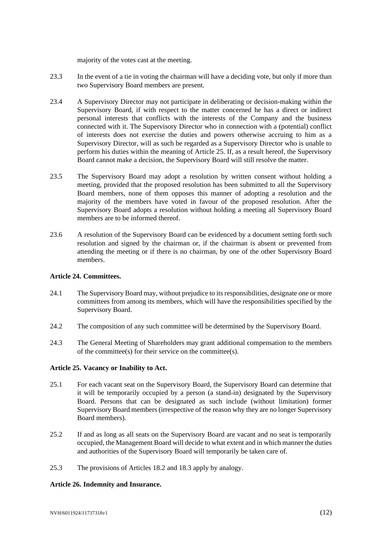majority of the votes cast at the meeting.

- 23.3 In the event of a tie in voting the chairman will have a deciding vote, but only if more than two Supervisory Board members are present.
- 23.4 A Supervisory Director may not participate in deliberating or decision-making within the Supervisory Board, if with respect to the matter concerned he has a direct or indirect personal interests that conflicts with the interests of the Company and the business connected with it. The Supervisory Director who in connection with a (potential) conflict of interests does not exercise the duties and powers otherwise accruing to him as a Supervisory Director, will as such be regarded as a Supervisory Director who is unable to perform his duties within the meaning of Article [25.](#page-11-1) If, as a result hereof, the Supervisory Board cannot make a decision, the Supervisory Board will still resolve the matter.
- 23.5 The Supervisory Board may adopt a resolution by written consent without holding a meeting, provided that the proposed resolution has been submitted to all the Supervisory Board members, none of them opposes this manner of adopting a resolution and the majority of the members have voted in favour of the proposed resolution. After the Supervisory Board adopts a resolution without holding a meeting all Supervisory Board members are to be informed thereof.
- 23.6 A resolution of the Supervisory Board can be evidenced by a document setting forth such resolution and signed by the chairman or, if the chairman is absent or prevented from attending the meeting or if there is no chairman, by one of the other Supervisory Board members.

### **Article 24. Committees.**

- 24.1 The Supervisory Board may, without prejudice to its responsibilities, designate one or more committees from among its members, which will have the responsibilities specified by the Supervisory Board.
- 24.2 The composition of any such committee will be determined by the Supervisory Board.
- 24.3 The General Meeting of Shareholders may grant additional compensation to the members of the committee(s) for their service on the committee(s).

# <span id="page-11-1"></span>**Article 25. Vacancy or Inability to Act.**

- 25.1 For each vacant seat on the Supervisory Board, the Supervisory Board can determine that it will be temporarily occupied by a person (a stand-in) designated by the Supervisory Board. Persons that can be designated as such include (without limitation) former Supervisory Board members (irrespective of the reason why they are no longer Supervisory Board members).
- 25.2 If and as long as all seats on the Supervisory Board are vacant and no seat is temporarily occupied, the Management Board will decide to what extent and in which manner the duties and authorities of the Supervisory Board will temporarily be taken care of.
- 25.3 The provisions of Articles [18.2](#page-8-2) and [18.3](#page-8-3) apply by analogy.

# <span id="page-11-0"></span>**Article 26. Indemnity and Insurance.**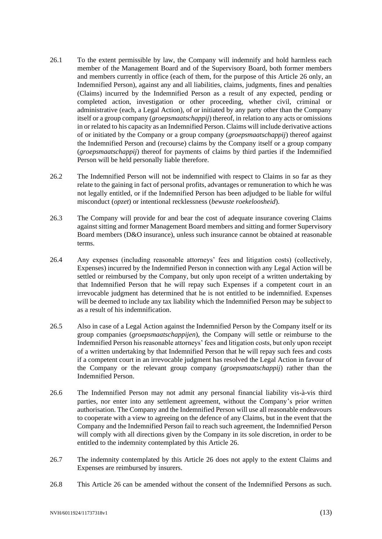- 26.1 To the extent permissible by law, the Company will indemnify and hold harmless each member of the Management Board and of the Supervisory Board, both former members and members currently in office (each of them, for the purpose of this Article [26](#page-11-0) only, an Indemnified Person), against any and all liabilities, claims, judgments, fines and penalties (Claims) incurred by the Indemnified Person as a result of any expected, pending or completed action, investigation or other proceeding, whether civil, criminal or administrative (each, a Legal Action), of or initiated by any party other than the Company itself or a group company (*groepsmaatschappij*) thereof, in relation to any acts or omissions in or related to his capacity as an Indemnified Person. Claims will include derivative actions of or initiated by the Company or a group company (*groepsmaatschappij*) thereof against the Indemnified Person and (recourse) claims by the Company itself or a group company (*groepsmaatschappij*) thereof for payments of claims by third parties if the Indemnified Person will be held personally liable therefore.
- 26.2 The Indemnified Person will not be indemnified with respect to Claims in so far as they relate to the gaining in fact of personal profits, advantages or remuneration to which he was not legally entitled, or if the Indemnified Person has been adjudged to be liable for wilful misconduct (*opzet*) or intentional recklessness (*bewuste roekeloosheid*).
- 26.3 The Company will provide for and bear the cost of adequate insurance covering Claims against sitting and former Management Board members and sitting and former Supervisory Board members (D&O insurance), unless such insurance cannot be obtained at reasonable terms.
- 26.4 Any expenses (including reasonable attorneys' fees and litigation costs) (collectively, Expenses) incurred by the Indemnified Person in connection with any Legal Action will be settled or reimbursed by the Company, but only upon receipt of a written undertaking by that Indemnified Person that he will repay such Expenses if a competent court in an irrevocable judgment has determined that he is not entitled to be indemnified. Expenses will be deemed to include any tax liability which the Indemnified Person may be subject to as a result of his indemnification.
- 26.5 Also in case of a Legal Action against the Indemnified Person by the Company itself or its group companies (*groepsmaatschappijen*), the Company will settle or reimburse to the Indemnified Person his reasonable attorneys' fees and litigation costs, but only upon receipt of a written undertaking by that Indemnified Person that he will repay such fees and costs if a competent court in an irrevocable judgment has resolved the Legal Action in favour of the Company or the relevant group company (*groepsmaatschappij*) rather than the Indemnified Person.
- 26.6 The Indemnified Person may not admit any personal financial liability vis-à-vis third parties, nor enter into any settlement agreement, without the Company's prior written authorisation. The Company and the Indemnified Person will use all reasonable endeavours to cooperate with a view to agreeing on the defence of any Claims, but in the event that the Company and the Indemnified Person fail to reach such agreement, the Indemnified Person will comply with all directions given by the Company in its sole discretion, in order to be entitled to the indemnity contemplated by this Article [26.](#page-11-0)
- 26.7 The indemnity contemplated by this Article [26](#page-11-0) does not apply to the extent Claims and Expenses are reimbursed by insurers.
- 26.8 This Article [26](#page-11-0) can be amended without the consent of the Indemnified Persons as such.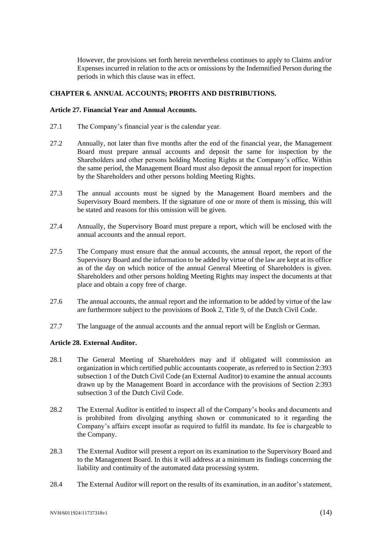However, the provisions set forth herein nevertheless continues to apply to Claims and/or Expenses incurred in relation to the acts or omissions by the Indemnified Person during the periods in which this clause was in effect.

# **CHAPTER 6. ANNUAL ACCOUNTS; PROFITS AND DISTRIBUTIONS.**

### **Article 27. Financial Year and Annual Accounts.**

- 27.1 The Company's financial year is the calendar year.
- 27.2 Annually, not later than five months after the end of the financial year, the Management Board must prepare annual accounts and deposit the same for inspection by the Shareholders and other persons holding Meeting Rights at the Company's office. Within the same period, the Management Board must also deposit the annual report for inspection by the Shareholders and other persons holding Meeting Rights.
- 27.3 The annual accounts must be signed by the Management Board members and the Supervisory Board members. If the signature of one or more of them is missing, this will be stated and reasons for this omission will be given.
- 27.4 Annually, the Supervisory Board must prepare a report, which will be enclosed with the annual accounts and the annual report.
- 27.5 The Company must ensure that the annual accounts, the annual report, the report of the Supervisory Board and the information to be added by virtue of the law are kept at its office as of the day on which notice of the annual General Meeting of Shareholders is given. Shareholders and other persons holding Meeting Rights may inspect the documents at that place and obtain a copy free of charge.
- 27.6 The annual accounts, the annual report and the information to be added by virtue of the law are furthermore subject to the provisions of Book 2, Title 9, of the Dutch Civil Code.
- 27.7 The language of the annual accounts and the annual report will be English or German.

### **Article 28. External Auditor.**

- <span id="page-13-0"></span>28.1 The General Meeting of Shareholders may and if obligated will commission an organization in which certified public accountants cooperate, as referred to in Section 2:393 subsection 1 of the Dutch Civil Code (an External Auditor) to examine the annual accounts drawn up by the Management Board in accordance with the provisions of Section 2:393 subsection 3 of the Dutch Civil Code.
- 28.2 The External Auditor is entitled to inspect all of the Company's books and documents and is prohibited from divulging anything shown or communicated to it regarding the Company's affairs except insofar as required to fulfil its mandate. Its fee is chargeable to the Company.
- 28.3 The External Auditor will present a report on its examination to the Supervisory Board and to the Management Board. In this it will address at a minimum its findings concerning the liability and continuity of the automated data processing system.
- 28.4 The External Auditor will report on the results of its examination, in an auditor's statement,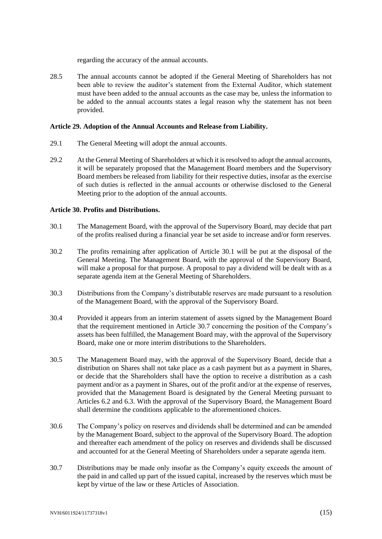regarding the accuracy of the annual accounts.

28.5 The annual accounts cannot be adopted if the General Meeting of Shareholders has not been able to review the auditor's statement from the External Auditor, which statement must have been added to the annual accounts as the case may be, unless the information to be added to the annual accounts states a legal reason why the statement has not been provided.

### **Article 29. Adoption of the Annual Accounts and Release from Liability.**

- 29.1 The General Meeting will adopt the annual accounts.
- 29.2 At the General Meeting of Shareholders at which it is resolved to adopt the annual accounts, it will be separately proposed that the Management Board members and the Supervisory Board members be released from liability for their respective duties, insofar as the exercise of such duties is reflected in the annual accounts or otherwise disclosed to the General Meeting prior to the adoption of the annual accounts.

### **Article 30. Profits and Distributions.**

- <span id="page-14-0"></span>30.1 The Management Board, with the approval of the Supervisory Board, may decide that part of the profits realised during a financial year be set aside to increase and/or form reserves.
- 30.2 The profits remaining after application of Article [30.1](#page-14-0) will be put at the disposal of the General Meeting. The Management Board, with the approval of the Supervisory Board, will make a proposal for that purpose. A proposal to pay a dividend will be dealt with as a separate agenda item at the General Meeting of Shareholders.
- 30.3 Distributions from the Company's distributable reserves are made pursuant to a resolution of the Management Board, with the approval of the Supervisory Board.
- 30.4 Provided it appears from an interim statement of assets signed by the Management Board that the requirement mentioned in Article [30.7](#page-14-1) concerning the position of the Company's assets has been fulfilled, the Management Board may, with the approval of the Supervisory Board, make one or more interim distributions to the Shareholders.
- 30.5 The Management Board may, with the approval of the Supervisory Board, decide that a distribution on Shares shall not take place as a cash payment but as a payment in Shares, or decide that the Shareholders shall have the option to receive a distribution as a cash payment and/or as a payment in Shares, out of the profit and/or at the expense of reserves, provided that the Management Board is designated by the General Meeting pursuant to Articles [6.2](#page-2-0) and [6.3.](#page-2-5) With the approval of the Supervisory Board, the Management Board shall determine the conditions applicable to the aforementioned choices.
- 30.6 The Company's policy on reserves and dividends shall be determined and can be amended by the Management Board, subject to the approval of the Supervisory Board. The adoption and thereafter each amendment of the policy on reserves and dividends shall be discussed and accounted for at the General Meeting of Shareholders under a separate agenda item.
- <span id="page-14-1"></span>30.7 Distributions may be made only insofar as the Company's equity exceeds the amount of the paid in and called up part of the issued capital, increased by the reserves which must be kept by virtue of the law or these Articles of Association.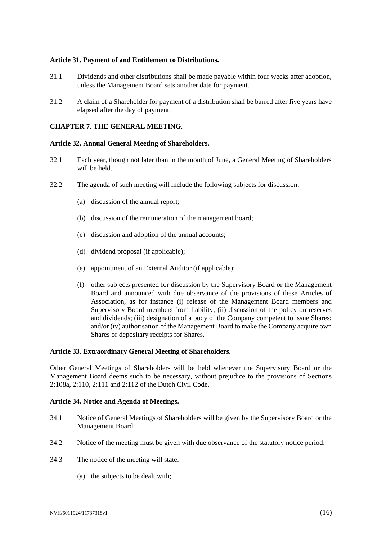### **Article 31. Payment of and Entitlement to Distributions.**

- 31.1 Dividends and other distributions shall be made payable within four weeks after adoption, unless the Management Board sets another date for payment.
- 31.2 A claim of a Shareholder for payment of a distribution shall be barred after five years have elapsed after the day of payment.

### **CHAPTER 7. THE GENERAL MEETING.**

### **Article 32. Annual General Meeting of Shareholders.**

- 32.1 Each year, though not later than in the month of June, a General Meeting of Shareholders will be held.
- 32.2 The agenda of such meeting will include the following subjects for discussion:
	- (a) discussion of the annual report;
	- (b) discussion of the remuneration of the management board;
	- (c) discussion and adoption of the annual accounts;
	- (d) dividend proposal (if applicable);
	- (e) appointment of an External Auditor (if applicable);
	- (f) other subjects presented for discussion by the Supervisory Board or the Management Board and announced with due observance of the provisions of these Articles of Association, as for instance (i) release of the Management Board members and Supervisory Board members from liability; (ii) discussion of the policy on reserves and dividends; (iii) designation of a body of the Company competent to issue Shares; and/or (iv) authorisation of the Management Board to make the Company acquire own Shares or depositary receipts for Shares.

### **Article 33. Extraordinary General Meeting of Shareholders.**

Other General Meetings of Shareholders will be held whenever the Supervisory Board or the Management Board deems such to be necessary, without prejudice to the provisions of Sections 2:108a, 2:110, 2:111 and 2:112 of the Dutch Civil Code.

### **Article 34. Notice and Agenda of Meetings.**

- 34.1 Notice of General Meetings of Shareholders will be given by the Supervisory Board or the Management Board.
- 34.2 Notice of the meeting must be given with due observance of the statutory notice period.
- 34.3 The notice of the meeting will state:
	- (a) the subjects to be dealt with;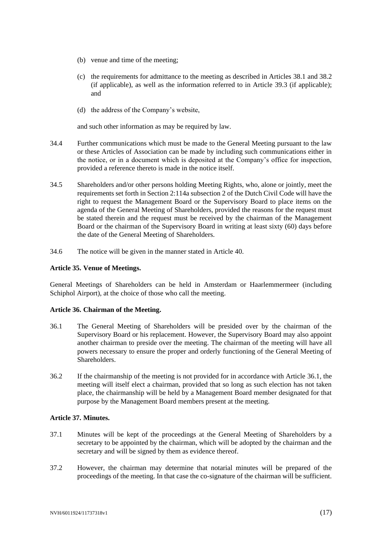- (b) venue and time of the meeting;
- (c) the requirements for admittance to the meeting as described in Articles [38.1](#page-17-0) and [38.2](#page-17-1) (if applicable), as well as the information referred to in Article [39.3](#page-18-0) (if applicable); and
- (d) the address of the Company's website,

and such other information as may be required by law.

- 34.4 Further communications which must be made to the General Meeting pursuant to the law or these Articles of Association can be made by including such communications either in the notice, or in a document which is deposited at the Company's office for inspection, provided a reference thereto is made in the notice itself.
- 34.5 Shareholders and/or other persons holding Meeting Rights, who, alone or jointly, meet the requirements set forth in Section 2:114a subsection 2 of the Dutch Civil Code will have the right to request the Management Board or the Supervisory Board to place items on the agenda of the General Meeting of Shareholders, provided the reasons for the request must be stated therein and the request must be received by the chairman of the Management Board or the chairman of the Supervisory Board in writing at least sixty (60) days before the date of the General Meeting of Shareholders.
- 34.6 The notice will be given in the manner stated in Article [40.](#page-18-1)

#### **Article 35. Venue of Meetings.**

General Meetings of Shareholders can be held in Amsterdam or Haarlemmermeer (including Schiphol Airport), at the choice of those who call the meeting.

### **Article 36. Chairman of the Meeting.**

- <span id="page-16-0"></span>36.1 The General Meeting of Shareholders will be presided over by the chairman of the Supervisory Board or his replacement. However, the Supervisory Board may also appoint another chairman to preside over the meeting. The chairman of the meeting will have all powers necessary to ensure the proper and orderly functioning of the General Meeting of Shareholders.
- 36.2 If the chairmanship of the meeting is not provided for in accordance with Article [36.1,](#page-16-0) the meeting will itself elect a chairman, provided that so long as such election has not taken place, the chairmanship will be held by a Management Board member designated for that purpose by the Management Board members present at the meeting.

#### **Article 37. Minutes.**

- 37.1 Minutes will be kept of the proceedings at the General Meeting of Shareholders by a secretary to be appointed by the chairman, which will be adopted by the chairman and the secretary and will be signed by them as evidence thereof.
- 37.2 However, the chairman may determine that notarial minutes will be prepared of the proceedings of the meeting. In that case the co-signature of the chairman will be sufficient.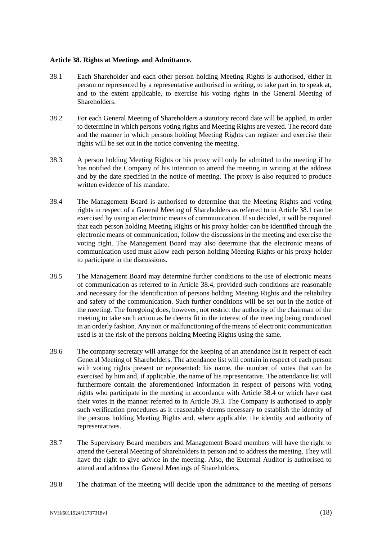#### <span id="page-17-3"></span>**Article 38. Rights at Meetings and Admittance.**

- <span id="page-17-0"></span>38.1 Each Shareholder and each other person holding Meeting Rights is authorised, either in person or represented by a representative authorised in writing, to take part in, to speak at, and to the extent applicable, to exercise his voting rights in the General Meeting of Shareholders.
- <span id="page-17-1"></span>38.2 For each General Meeting of Shareholders a statutory record date will be applied, in order to determine in which persons voting rights and Meeting Rights are vested. The record date and the manner in which persons holding Meeting Rights can register and exercise their rights will be set out in the notice convening the meeting.
- 38.3 A person holding Meeting Rights or his proxy will only be admitted to the meeting if he has notified the Company of his intention to attend the meeting in writing at the address and by the date specified in the notice of meeting. The proxy is also required to produce written evidence of his mandate.
- <span id="page-17-2"></span>38.4 The Management Board is authorised to determine that the Meeting Rights and voting rights in respect of a General Meeting of Shareholders as referred to in Article [38.1](#page-17-0) can be exercised by using an electronic means of communication. If so decided, it will be required that each person holding Meeting Rights or his proxy holder can be identified through the electronic means of communication, follow the discussions in the meeting and exercise the voting right. The Management Board may also determine that the electronic means of communication used must allow each person holding Meeting Rights or his proxy holder to participate in the discussions.
- 38.5 The Management Board may determine further conditions to the use of electronic means of communication as referred to in Article [38.4,](#page-17-2) provided such conditions are reasonable and necessary for the identification of persons holding Meeting Rights and the reliability and safety of the communication. Such further conditions will be set out in the notice of the meeting. The foregoing does, however, not restrict the authority of the chairman of the meeting to take such action as he deems fit in the interest of the meeting being conducted in an orderly fashion. Any non or malfunctioning of the means of electronic communication used is at the risk of the persons holding Meeting Rights using the same.
- 38.6 The company secretary will arrange for the keeping of an attendance list in respect of each General Meeting of Shareholders. The attendance list will contain in respect of each person with voting rights present or represented: his name, the number of votes that can be exercised by him and, if applicable, the name of his representative. The attendance list will furthermore contain the aforementioned information in respect of persons with voting rights who participate in the meeting in accordance with Article [38.4](#page-17-2) or which have cast their votes in the manner referred to in Article [39.3.](#page-18-0) The Company is authorised to apply such verification procedures as it reasonably deems necessary to establish the identity of the persons holding Meeting Rights and, where applicable, the identity and authority of representatives.
- 38.7 The Supervisory Board members and Management Board members will have the right to attend the General Meeting of Shareholders in person and to address the meeting. They will have the right to give advice in the meeting. Also, the External Auditor is authorised to attend and address the General Meetings of Shareholders.
- 38.8 The chairman of the meeting will decide upon the admittance to the meeting of persons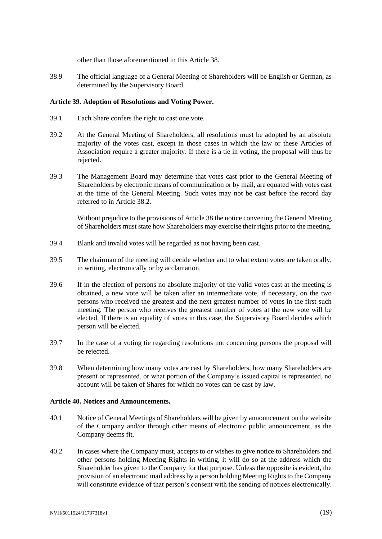other than those aforementioned in this Article [38.](#page-17-3)

38.9 The official language of a General Meeting of Shareholders will be English or German, as determined by the Supervisory Board.

### **Article 39. Adoption of Resolutions and Voting Power.**

- 39.1 Each Share confers the right to cast one vote.
- 39.2 At the General Meeting of Shareholders, all resolutions must be adopted by an absolute majority of the votes cast, except in those cases in which the law or these Articles of Association require a greater majority. If there is a tie in voting, the proposal will thus be rejected.
- <span id="page-18-0"></span>39.3 The Management Board may determine that votes cast prior to the General Meeting of Shareholders by electronic means of communication or by mail, are equated with votes cast at the time of the General Meeting. Such votes may not be cast before the record day referred to in Article [38.2.](#page-17-1)

Without prejudice to the provisions of Article [38](#page-17-3) the notice convening the General Meeting of Shareholders must state how Shareholders may exercise their rights prior to the meeting.

- 39.4 Blank and invalid votes will be regarded as not having been cast.
- 39.5 The chairman of the meeting will decide whether and to what extent votes are taken orally, in writing, electronically or by acclamation.
- 39.6 If in the election of persons no absolute majority of the valid votes cast at the meeting is obtained, a new vote will be taken after an intermediate vote, if necessary, on the two persons who received the greatest and the next greatest number of votes in the first such meeting. The person who receives the greatest number of votes at the new vote will be elected. If there is an equality of votes in this case, the Supervisory Board decides which person will be elected.
- 39.7 In the case of a voting tie regarding resolutions not concerning persons the proposal will be rejected.
- 39.8 When determining how many votes are cast by Shareholders, how many Shareholders are present or represented, or what portion of the Company's issued capital is represented, no account will be taken of Shares for which no votes can be cast by law.

### <span id="page-18-1"></span>**Article 40. Notices and Announcements.**

- <span id="page-18-2"></span>40.1 Notice of General Meetings of Shareholders will be given by announcement on the website of the Company and/or through other means of electronic public announcement, as the Company deems fit.
- <span id="page-18-3"></span>40.2 In cases where the Company must, accepts to or wishes to give notice to Shareholders and other persons holding Meeting Rights in writing, it will do so at the address which the Shareholder has given to the Company for that purpose. Unless the opposite is evident, the provision of an electronic mail address by a person holding Meeting Rights to the Company will constitute evidence of that person's consent with the sending of notices electronically.